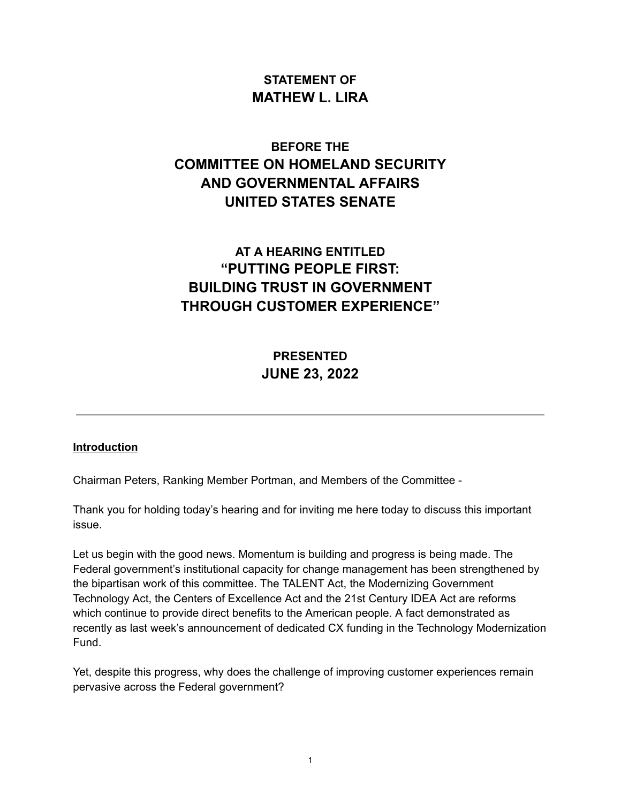## **STATEMENT OF MATHEW L. LIRA**

# **BEFORE THE COMMITTEE ON HOMELAND SECURITY AND GOVERNMENTAL AFFAIRS UNITED STATES SENATE**

# **AT A HEARING ENTITLED "PUTTING PEOPLE FIRST: BUILDING TRUST IN GOVERNMENT THROUGH CUSTOMER EXPERIENCE"**

# **PRESENTED JUNE 23, 2022**

#### **Introduction**

Chairman Peters, Ranking Member Portman, and Members of the Committee -

Thank you for holding today's hearing and for inviting me here today to discuss this important issue.

Let us begin with the good news. Momentum is building and progress is being made. The Federal government's institutional capacity for change management has been strengthened by the bipartisan work of this committee. The TALENT Act, the Modernizing Government Technology Act, the Centers of Excellence Act and the 21st Century IDEA Act are reforms which continue to provide direct benefits to the American people. A fact demonstrated as recently as last week's announcement of dedicated CX funding in the Technology Modernization Fund.

Yet, despite this progress, why does the challenge of improving customer experiences remain pervasive across the Federal government?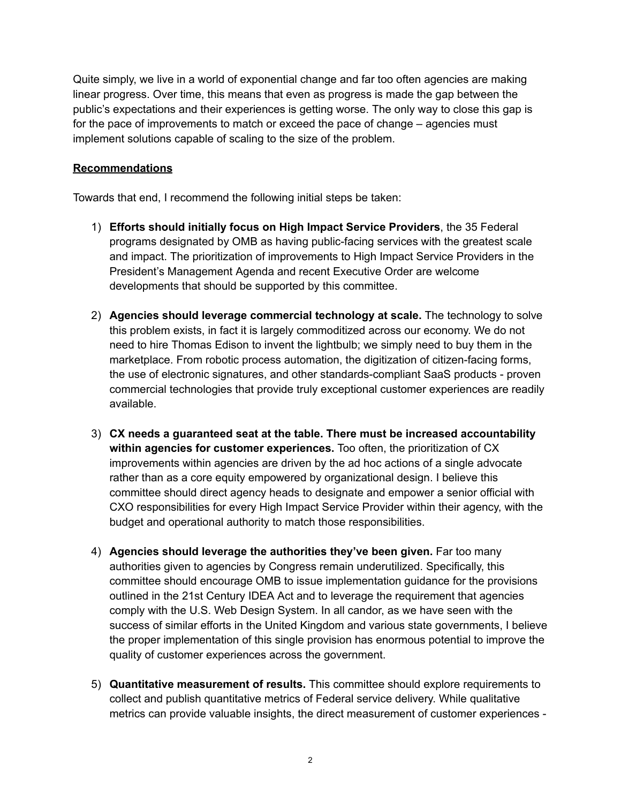Quite simply, we live in a world of exponential change and far too often agencies are making linear progress. Over time, this means that even as progress is made the gap between the public's expectations and their experiences is getting worse. The only way to close this gap is for the pace of improvements to match or exceed the pace of change – agencies must implement solutions capable of scaling to the size of the problem.

## **Recommendations**

Towards that end, I recommend the following initial steps be taken:

- 1) **Efforts should initially focus on High Impact Service Providers**, the 35 Federal programs designated by OMB as having public-facing services with the greatest scale and impact. The prioritization of improvements to High Impact Service Providers in the President's Management Agenda and recent Executive Order are welcome developments that should be supported by this committee.
- 2) **Agencies should leverage commercial technology at scale.** The technology to solve this problem exists, in fact it is largely commoditized across our economy. We do not need to hire Thomas Edison to invent the lightbulb; we simply need to buy them in the marketplace. From robotic process automation, the digitization of citizen-facing forms, the use of electronic signatures, and other standards-compliant SaaS products - proven commercial technologies that provide truly exceptional customer experiences are readily available.
- 3) **CX needs a guaranteed seat at the table. There must be increased accountability within agencies for customer experiences.** Too often, the prioritization of CX improvements within agencies are driven by the ad hoc actions of a single advocate rather than as a core equity empowered by organizational design. I believe this committee should direct agency heads to designate and empower a senior official with CXO responsibilities for every High Impact Service Provider within their agency, with the budget and operational authority to match those responsibilities.
- 4) **Agencies should leverage the authorities they've been given.** Far too many authorities given to agencies by Congress remain underutilized. Specifically, this committee should encourage OMB to issue implementation guidance for the provisions outlined in the 21st Century IDEA Act and to leverage the requirement that agencies comply with the U.S. Web Design System. In all candor, as we have seen with the success of similar efforts in the United Kingdom and various state governments, I believe the proper implementation of this single provision has enormous potential to improve the quality of customer experiences across the government.
- 5) **Quantitative measurement of results.** This committee should explore requirements to collect and publish quantitative metrics of Federal service delivery. While qualitative metrics can provide valuable insights, the direct measurement of customer experiences -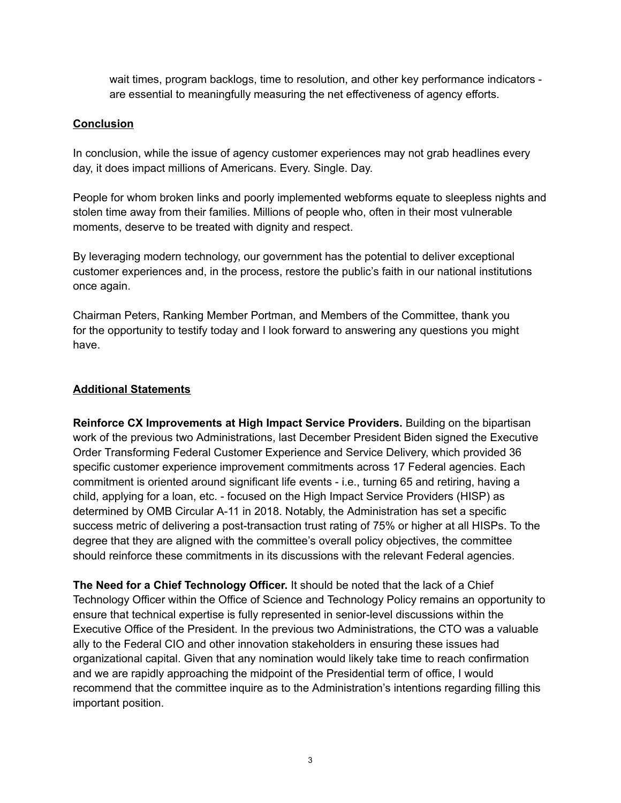wait times, program backlogs, time to resolution, and other key performance indicators are essential to meaningfully measuring the net effectiveness of agency efforts.

## **Conclusion**

In conclusion, while the issue of agency customer experiences may not grab headlines every day, it does impact millions of Americans. Every. Single. Day.

People for whom broken links and poorly implemented webforms equate to sleepless nights and stolen time away from their families. Millions of people who, often in their most vulnerable moments, deserve to be treated with dignity and respect.

By leveraging modern technology, our government has the potential to deliver exceptional customer experiences and, in the process, restore the public's faith in our national institutions once again.

Chairman Peters, Ranking Member Portman, and Members of the Committee, thank you for the opportunity to testify today and I look forward to answering any questions you might have.

## **Additional Statements**

**Reinforce CX Improvements at High Impact Service Providers.** Building on the bipartisan work of the previous two Administrations, last December President Biden signed the Executive Order Transforming Federal Customer Experience and Service Delivery, which provided 36 specific customer experience improvement commitments across 17 Federal agencies. Each commitment is oriented around significant life events - i.e., turning 65 and retiring, having a child, applying for a loan, etc. - focused on the High Impact Service Providers (HISP) as determined by OMB Circular A-11 in 2018. Notably, the Administration has set a specific success metric of delivering a post-transaction trust rating of 75% or higher at all HISPs. To the degree that they are aligned with the committee's overall policy objectives, the committee should reinforce these commitments in its discussions with the relevant Federal agencies.

**The Need for a Chief Technology Officer.** It should be noted that the lack of a Chief Technology Officer within the Office of Science and Technology Policy remains an opportunity to ensure that technical expertise is fully represented in senior-level discussions within the Executive Office of the President. In the previous two Administrations, the CTO was a valuable ally to the Federal CIO and other innovation stakeholders in ensuring these issues had organizational capital. Given that any nomination would likely take time to reach confirmation and we are rapidly approaching the midpoint of the Presidential term of office, I would recommend that the committee inquire as to the Administration's intentions regarding filling this important position.